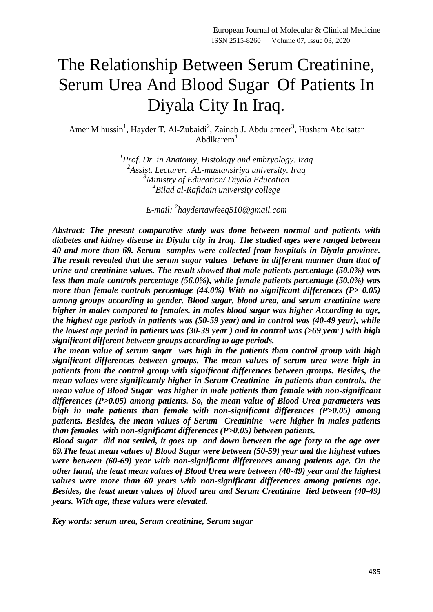# The Relationship Between Serum Creatinine, Serum Urea And Blood Sugar Of Patients In Diyala City In Iraq.

Amer M hussin<sup>1</sup>, Hayder T. Al-Zubaidi<sup>2</sup>, Zainab J. Abdulameer<sup>3</sup>, Husham Abdlsatar Abdlkarem<sup>4</sup>

> *Prof. Dr. in Anatomy, Histology and embryology. Iraq Assist. Lecturer. AL-mustansiriya university. Iraq Ministry of Education/ Diyala Education Bilad al-Rafidain university college*

> > *E-mail: 2 [haydertawfeeq510@gmail.com](mailto:haydertawfeeq510@gmail.com)*

*Abstract: The present comparative study was done between normal and patients with diabetes and kidney disease in Diyala city in Iraq. The studied ages were ranged between 40 and more than 69. Serum samples were collected from hospitals in Diyala province. The result revealed that the serum sugar values behave in different manner than that of urine and creatinine values. The result showed that male patients percentage (50.0%) was less than male controls percentage (56.0%), while female patients percentage (50.0%) was more than female controls percentage (44.0%) With no significant differences (P> 0.05) among groups according to gender. Blood sugar, blood urea, and serum creatinine were higher in males compared to females. in males blood sugar was higher According to age, the highest age periods in patients was (50-59 year) and in control was (40-49 year), while the lowest age period in patients was (30-39 year ) and in control was (>69 year ) with high significant different between groups according to age periods.*

*The mean value of serum sugar was high in the patients than control group with high significant differences between groups. The mean values of serum urea were high in patients from the control group with significant differences between groups. Besides, the mean values were significantly higher in Serum Creatinine in patients than controls. the mean value of Blood Sugar was higher in male patients than female with non-significant differences (P>0.05) among patients. So, the mean value of Blood Urea parameters was high in male patients than female with non-significant differences (P>0.05) among patients. Besides, the mean values of Serum Creatinine were higher in males patients than females with non-significant differences (P>0.05) between patients.*

*Blood sugar did not settled, it goes up and down between the age forty to the age over 69.The least mean values of Blood Sugar were between (50-59) year and the highest values were between (60-69) year with non-significant differences among patients age. On the other hand, the least mean values of Blood Urea were between (40-49) year and the highest values were more than 60 years with non-significant differences among patients age. Besides, the least mean values of blood urea and Serum Creatinine lied between (40-49) years. With age, these values were elevated.*

*Key words: serum urea, Serum creatinine, Serum sugar*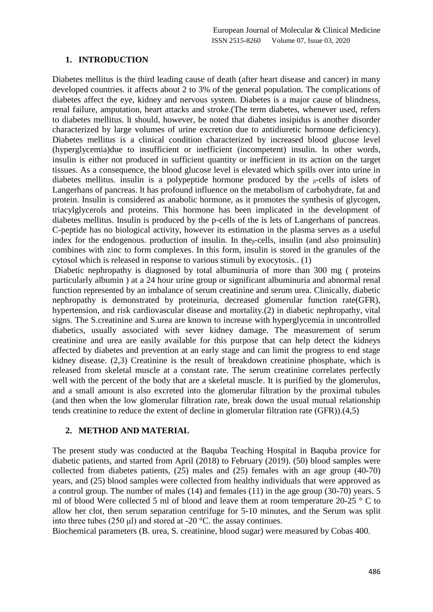### **1. INTRODUCTION**

Diabetes mellitus is the third leading cause of death (after heart disease and cancer) in many developed countries. it affects about 2 to 3% of the general population. The complications of diabetes affect the eye, kidney and nervous system. Diabetes is a major cause of blindness, renal failure, amputation, heart attacks and stroke.(The term diabetes, whenever used, refers to diabetes mellitus. lt should, however, be noted that diabetes insipidus is another disorder characterized by large volumes of urine excretion due to antidiuretic hormone deficiency). Diabetes mellitus is a clinical condition characterized by increased blood glucose level (hyperglycemia)due to insufficient or inefficient (incompetent) insulin. ln other words, insulin is either not produced in sufficient quantity or inefficient in its action on the target tissues. As a consequence, the blood glucose level is elevated which spills over into urine in diabetes mellitus. insulin is a polypeptide hormone produced by the  $_{\beta}$ -cells of islets of Langerhans of pancreas. lt has profound influence on the metabolism of carbohydrate, fat and protein. Insulin is considered as anabolic hormone, as it promotes the synthesis of glycogen, triacylglycerols and proteins. This hormone has been implicated in the development of diabetes mellitus. Insulin is produced by the p-cells of the is lets of Langerhans of pancreas. C-peptide has no biological activity, however its estimation in the plasma serves as a useful index for the endogenous. production of insulin. In the<sub> $\beta$ </sub>-cells, insulin (and also proinsulin) combines with zinc to form complexes. In this form, insulin is stored in the granules of the cytosol which is released in response to various stimuli by exocytosis.. (1)

Diabetic nephropathy is diagnosed by total albuminuria of more than 300 mg ( proteins particularly albumin ) at a 24 hour urine group or significant albuminuria and abnormal renal function represented by an imbalance of serum creatinine and serum urea. Clinically, diabetic nephropathy is demonstrated by proteinuria, decreased glomerular function rate(GFR), hypertension, and risk cardiovascular disease and mortality.(2) in diabetic nephropathy, vital signs. The S.creatinine and S.urea are known to increase with hyperglycemia in uncontrolled diabetics, usually associated with sever kidney damage. The measurement of serum creatinine and urea are easily available for this purpose that can help detect the kidneys affected by diabetes and prevention at an early stage and can limit the progress to end stage kidney disease. (2,3) Creatinine is the result of breakdown creatinine phosphate, which is released from skeletal muscle at a constant rate. The serum creatinine correlates perfectly well with the percent of the body that are a skeletal muscle. It is purified by the glomerulus, and a small amount is also excreted into the glomerular filtration by the proximal tubules (and then when the low glomerular filtration rate, break down the usual mutual relationship tends creatinine to reduce the extent of decline in glomerular filtration rate (GFR)).(4,5)

#### **2. METHOD AND MATERIAL**

The present study was conducted at the Baquba Teaching Hospital in Baquba provice for diabetic patients, and started from April (2018) to February (2019). (50) blood samples were collected from diabetes patients, (25) males and (25) females with an age group (40-70) years, and (25) blood samples were collected from healthy individuals that were approved as a control group. The number of males (14) and females (11) in the age group (30-70) years. 5 ml of blood Were collected 5 ml of blood and leave them at room temperature 20-25 ° C to allow her clot, then serum separation centrifuge for 5-10 minutes, and the Serum was split into three tubes (250 μl) and stored at -20 °C. the assay continues.

Biochemical parameters (B. urea, S. creatinine, blood sugar) were measured by Cobas 400.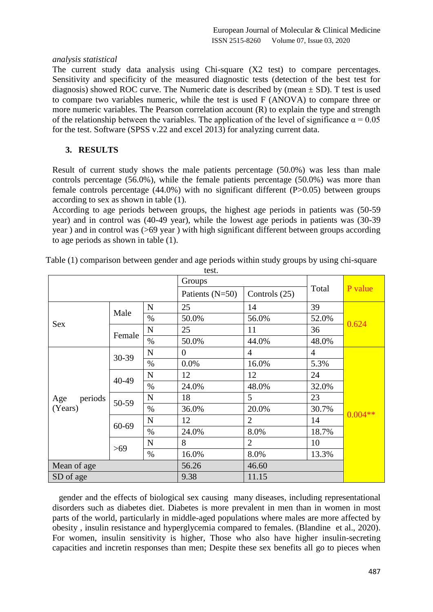#### *analysis statistical*

The current study data analysis using Chi-square (X2 test) to compare percentages. Sensitivity and specificity of the measured diagnostic tests (detection of the best test for diagnosis) showed ROC curve. The Numeric date is described by (mean  $\pm$  SD). T test is used to compare two variables numeric, while the test is used F (ANOVA) to compare three or more numeric variables. The Pearson correlation account (R) to explain the type and strength of the relationship between the variables. The application of the level of significance  $\alpha = 0.05$ for the test. Software (SPSS v.22 and excel 2013) for analyzing current data.

## **3. RESULTS**

Result of current study shows the male patients percentage (50.0%) was less than male controls percentage (56.0%), while the female patients percentage (50.0%) was more than female controls percentage  $(44.0\%)$  with no significant different  $(P>0.05)$  between groups according to sex as shown in table (1).

According to age periods between groups, the highest age periods in patients was (50-59 year) and in control was (40-49 year), while the lowest age periods in patients was (30-39 year ) and in control was (>69 year ) with high significant different between groups according to age periods as shown in table (1).

|                           |        |                   | Groups          |                 |                |           |  |
|---------------------------|--------|-------------------|-----------------|-----------------|----------------|-----------|--|
|                           |        | Patients $(N=50)$ | Controls $(25)$ | Total           | P value        |           |  |
|                           |        | $\mathbf N$       | 25              | 14              | 39             |           |  |
|                           | Male   | $\%$              | 50.0%           | 56.0%           | 52.0%          |           |  |
| Sex                       |        | N                 | 25              | 11              | 36             | 0.624     |  |
|                           | Female | $\%$              | 50.0%           | 44.0%           | 48.0%          |           |  |
| periods<br>Age<br>(Years) |        | N                 | $\theta$        | 4               | $\overline{4}$ |           |  |
|                           | 30-39  | $\%$              | 0.0%            | 16.0%           | 5.3%           |           |  |
|                           | 40-49  | $\mathbf N$       | 12              | 12              | 24             |           |  |
|                           |        | $\%$              | 24.0%           | 48.0%           | 32.0%          |           |  |
|                           | 50-59  | N                 | 18              | $5\overline{)}$ | 23             |           |  |
|                           |        | $\%$              | 36.0%           | 20.0%           | 30.7%          | $0.004**$ |  |
|                           | 60-69  | $\mathbf N$       | 12              | $\overline{2}$  | 14             |           |  |
|                           |        | $\%$              | 24.0%           | 8.0%            | 18.7%          |           |  |
|                           | >69    | $\mathbf N$       | 8               | $\overline{2}$  | 10             |           |  |
|                           |        | $\%$              | 16.0%           | 8.0%            | 13.3%          |           |  |
| Mean of age               |        |                   | 56.26           | 46.60           |                |           |  |
| SD of age                 |        |                   | 9.38            | 11.15           |                |           |  |

Table (1) comparison between gender and age periods within study groups by using chi-square

 gender and the effects of biological sex causing many diseases, including representational disorders such as diabetes diet. Diabetes is more prevalent in men than in women in most parts of the world, particularly in middle-aged populations where males are more affected by obesity , insulin resistance and hyperglycemia compared to females. (Blandine et al., 2020). For women, insulin sensitivity is higher, Those who also have higher insulin-secreting capacities and incretin responses than men; Despite these sex benefits all go to pieces when

test.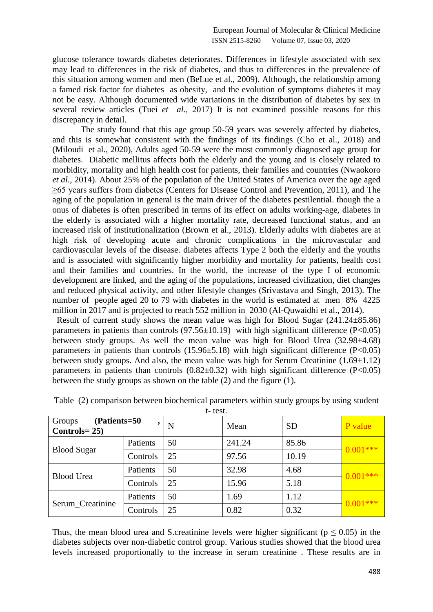glucose tolerance towards diabetes deteriorates. Differences in lifestyle associated with sex may lead to differences in the risk of diabetes, and thus to differences in the prevalence of this situation among women and men (BeLue et al., 2009). Although, the relationship among a famed risk factor for diabetes as obesity, and the evolution of symptoms diabetes it may not be easy. Although documented wide variations in the distribution of diabetes by sex in several review articles (Tuei *et al.,* 2017) It is not examined possible reasons for this discrepancy in detail.

 The study found that this age group 50-59 years was severely affected by diabetes, and this is somewhat consistent with the findings of its findings (Cho et al., 2018) and (Miloudi et al., 2020), Adults aged 50-59 were the most commonly diagnosed age group for diabetes. Diabetic mellitus affects both the elderly and the young and is closely related to morbidity, mortality and high health cost for patients, their families and countries (Nwaokoro *et al.,* 2014). About 25% of the population of the United States of America over the age aged ≥65 years suffers from diabetes (Centers for Disease Control and Prevention, 2011), and The aging of the population in general is the main driver of the diabetes pestilential. though the a onus of diabetes is often prescribed in terms of its effect on adults working-age, diabetes in the elderly is associated with a higher mortality rate, decreased functional status, and an increased risk of institutionalization (Brown et al., 2013). Elderly adults with diabetes are at high risk of developing acute and chronic complications in the microvascular and cardiovascular levels of the disease. diabetes affects Type 2 both the elderly and the youths and is associated with significantly higher morbidity and mortality for patients, health cost and their families and countries. In the world, the increase of the type I of economic development are linked, and the aging of the populations, increased civilization, diet changes and reduced physical activity, and other lifestyle changes (Srivastava and Singh, 2013). The number of people aged 20 to 79 with diabetes in the world is estimated at men 8% 4225 million in 2017 and is projected to reach 552 million in 2030 (Al-Quwaidhi et al., 2014).

 Result of current study shows the mean value was high for Blood Sugar (241.24±85.86) parameters in patients than controls  $(97.56 \pm 10.19)$  with high significant difference  $(P<0.05)$ between study groups. As well the mean value was high for Blood Urea (32.98 $\pm$ 4.68) parameters in patients than controls  $(15.96\pm5.18)$  with high significant difference  $(P<0.05)$ between study groups. And also, the mean value was high for Serum Creatinine  $(1.69 \pm 1.12)$ parameters in patients than controls  $(0.82 \pm 0.32)$  with high significant difference  $(P<0.05)$ between the study groups as shown on the table (2) and the figure (1).

| (Patients=50<br>Groups<br>$Controls = 25$ |          | N  | Mean   | <b>SD</b> | P value    |  |
|-------------------------------------------|----------|----|--------|-----------|------------|--|
|                                           | Patients | 50 | 241.24 | 85.86     | $0.001***$ |  |
| <b>Blood Sugar</b>                        | Controls | 25 | 97.56  | 10.19     |            |  |
| <b>Blood Urea</b>                         | Patients | 50 | 32.98  | 4.68      | $0.001***$ |  |
|                                           | Controls | 25 | 15.96  | 5.18      |            |  |
| Serum_Creatinine                          | Patients | 50 | 1.69   | 1.12      | $0.001***$ |  |
|                                           | Controls | 25 | 0.82   | 0.32      |            |  |

Table (2) comparison between biochemical parameters within study groups by using student t- test.

Thus, the mean blood urea and S.creatinine levels were higher significant ( $p \le 0.05$ ) in the diabetes subjects over non-diabetic control group. Various studies showed that the blood urea levels increased proportionally to the increase in serum creatinine . These results are in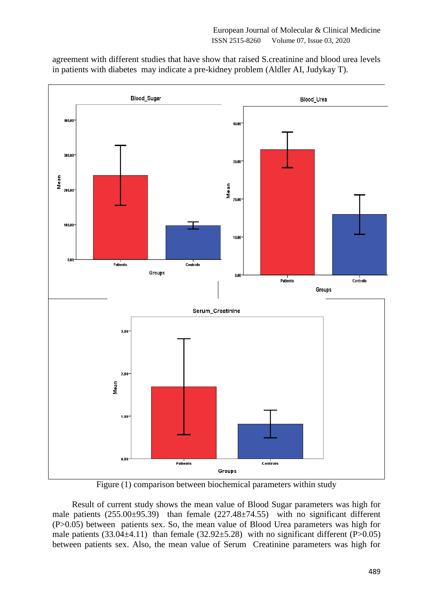agreement with different studies that have show that raised S.creatinine and blood urea levels in patients with diabetes may indicate a pre-kidney problem (Aldler AI, Judykay T).



Figure (1) comparison between biochemical parameters within study

 Result of current study shows the mean value of Blood Sugar parameters was high for male patients (255.00±95.39) than female (227.48±74.55) with no significant different (P>0.05) between patients sex. So, the mean value of Blood Urea parameters was high for male patients  $(33.04\pm4.11)$  than female  $(32.92\pm5.28)$  with no significant different (P>0.05) between patients sex. Also, the mean value of Serum Creatinine parameters was high for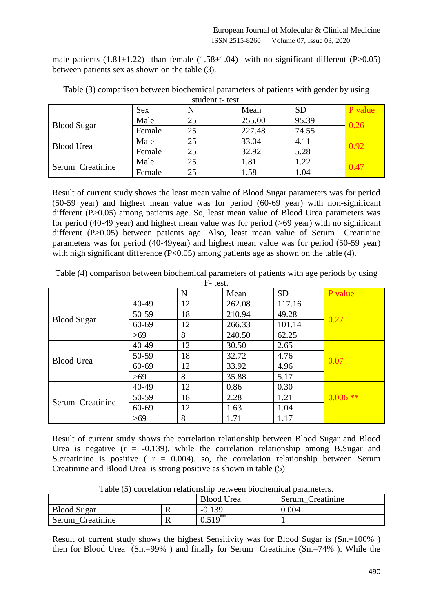male patients  $(1.81\pm1.22)$  than female  $(1.58\pm1.04)$  with no significant different  $(P>0.05)$ between patients sex as shown on the table (3).

|                    | <b>Sex</b> |    | Mean   | <b>SD</b> | P value |  |
|--------------------|------------|----|--------|-----------|---------|--|
| <b>Blood Sugar</b> | Male       | 25 | 255.00 | 95.39     | 0.26    |  |
|                    | Female     | 25 | 227.48 | 74.55     |         |  |
| <b>Blood Urea</b>  | Male       | 25 | 33.04  | 4.11      | 0.92    |  |
|                    | Female     | 25 | 32.92  | 5.28      |         |  |
| Serum Creatinine   | Male       | 25 | 1.81   | .22       | 0.47    |  |
|                    | Female     | 25 | 1.58   | 1.04      |         |  |

Table (3) comparison between biochemical parameters of patients with gender by using student t- test.

Result of current study shows the least mean value of Blood Sugar parameters was for period (50-59 year) and highest mean value was for period (60-69 year) with non-significant different (P>0.05) among patients age. So, least mean value of Blood Urea parameters was for period (40-49 year) and highest mean value was for period (>69 year) with no significant different (P>0.05) between patients age. Also, least mean value of Serum Creatinine parameters was for period (40-49year) and highest mean value was for period (50-59 year) with high significant difference  $(P<0.05)$  among patients age as shown on the table (4).

| Table (4) comparison between biochemical parameters of patients with age periods by using |  |  |  |
|-------------------------------------------------------------------------------------------|--|--|--|
|                                                                                           |  |  |  |

| F-test.            |           |    |        |           |            |  |  |
|--------------------|-----------|----|--------|-----------|------------|--|--|
|                    |           | N  | Mean   | <b>SD</b> | P value    |  |  |
|                    | 40-49     | 12 | 262.08 | 117.16    |            |  |  |
|                    | 50-59     | 18 | 210.94 | 49.28     | 0.27       |  |  |
| <b>Blood Sugar</b> | $60 - 69$ | 12 | 266.33 | 101.14    |            |  |  |
|                    | >69       | 8  | 240.50 | 62.25     |            |  |  |
|                    | 40-49     | 12 | 30.50  | 2.65      |            |  |  |
| <b>Blood Urea</b>  | 50-59     | 18 | 32.72  | 4.76      | 0.07       |  |  |
|                    | $60 - 69$ | 12 | 33.92  | 4.96      |            |  |  |
|                    | >69       | 8  | 35.88  | 5.17      |            |  |  |
| Serum Creatinine   | 40-49     | 12 | 0.86   | 0.30      |            |  |  |
|                    | 50-59     | 18 | 2.28   | 1.21      | $0.006$ ** |  |  |
|                    | $60 - 69$ | 12 | 1.63   | 1.04      |            |  |  |
|                    | >69       | 8  | 1.71   | 1.17      |            |  |  |

Result of current study shows the correlation relationship between Blood Sugar and Blood Urea is negative  $(r = -0.139)$ , while the correlation relationship among B.Sugar and S.creatinine is positive ( $r = 0.004$ ). so, the correlation relationship between Serum Creatinine and Blood Urea is strong positive as shown in table (5)

|                    |    | <b>Blood Urea</b> | Serum Creatinine |
|--------------------|----|-------------------|------------------|
| <b>Blood Sugar</b> | 17 | $-0.139$          | 0.004            |
| Serum Creatinine   | v  | $0.519$ **        |                  |

Table (5) correlation relationship between biochemical parameters.

Result of current study shows the highest Sensitivity was for Blood Sugar is (Sn.=100% ) then for Blood Urea (Sn.=99% ) and finally for Serum Creatinine (Sn.=74% ). While the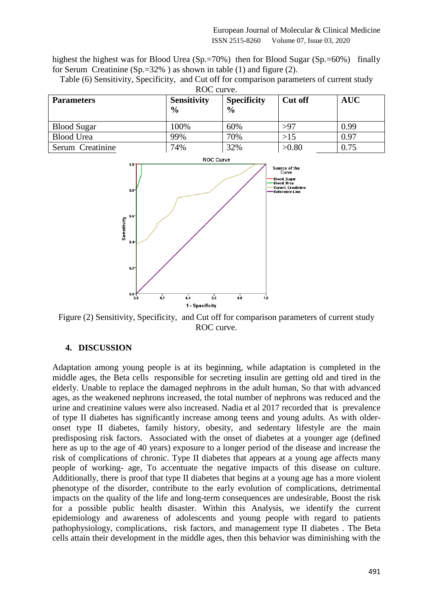highest the highest was for Blood Urea (Sp.=70%) then for Blood Sugar (Sp.=60%) finally for Serum Creatinine  $(Sp.=32\%)$  as shown in table (1) and figure (2).

| ROC curve.         |                                     |                                     |                |            |  |  |  |
|--------------------|-------------------------------------|-------------------------------------|----------------|------------|--|--|--|
| <b>Parameters</b>  | <b>Sensitivity</b><br>$\frac{6}{6}$ | <b>Specificity</b><br>$\frac{0}{0}$ | <b>Cut off</b> | <b>AUC</b> |  |  |  |
| <b>Blood Sugar</b> | 100%                                | 60%                                 | >97            | 0.99       |  |  |  |
| <b>Blood Urea</b>  | 99%                                 | 70%                                 | $>15$          | 0.97       |  |  |  |
| Serum Creatinine   | 74%                                 | 32%                                 | >0.80          | 0.75       |  |  |  |

Table (6) Sensitivity, Specificity, and Cut off for comparison parameters of current study



Figure (2) Sensitivity, Specificity, and Cut off for comparison parameters of current study ROC curve.

## **4. DISCUSSION**

Adaptation among young people is at its beginning, while adaptation is completed in the middle ages, the Beta cells responsible for secreting insulin are getting old and tired in the elderly. Unable to replace the damaged nephrons in the adult human, So that with advanced ages, as the weakened nephrons increased, the total number of nephrons was reduced and the urine and creatinine values were also increased. Nadia et al 2017 recorded that is prevalence of type II diabetes has significantly increase among teens and young adults. As with olderonset type II diabetes, family history, obesity, and sedentary lifestyle are the main predisposing risk factors. Associated with the onset of diabetes at a younger age (defined here as up to the age of 40 years) exposure to a longer period of the disease and increase the risk of complications of chronic. Type II diabetes that appears at a young age affects many people of working- age, To accentuate the negative impacts of this disease on culture. Additionally, there is proof that type II diabetes that begins at a young age has a more violent phenotype of the disorder, contribute to the early evolution of complications, detrimental impacts on the quality of the life and long-term consequences are undesirable, Boost the risk for a possible public health disaster. Within this Analysis, we identify the current epidemiology and awareness of adolescents and young people with regard to patients pathophysiology, complications, risk factors, and management type II diabetes . The Beta cells attain their development in the middle ages, then this behavior was diminishing with the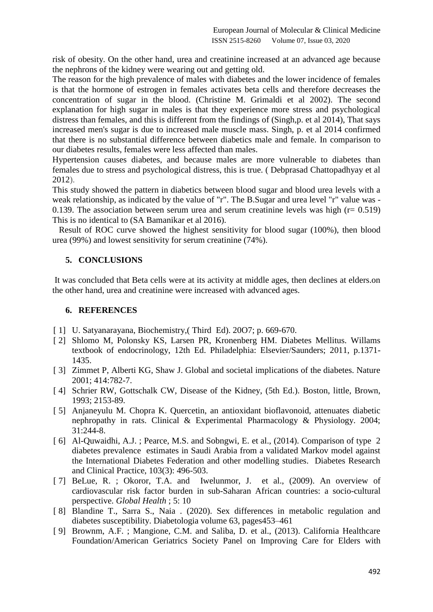risk of obesity. On the other hand, urea and creatinine increased at an advanced age because the nephrons of the kidney were wearing out and getting old.

The reason for the high prevalence of males with diabetes and the lower incidence of females is that the hormone of estrogen in females activates beta cells and therefore decreases the concentration of sugar in the blood. (Christine M. Grimaldi et al 2002). The second explanation for high sugar in males is that they experience more stress and psychological distress than females, and this is different from the findings of (Singh,p. et al 2014), That says increased men's sugar is due to increased male muscle mass. Singh, p. et al 2014 confirmed that there is no substantial difference between diabetics male and female. In comparison to our diabetes results, females were less affected than males.

Hypertension causes diabetes, and because males are more vulnerable to diabetes than females due to stress and psychological distress, this is true. ( Debprasad Chattopadhyay et al 2012).

This study showed the pattern in diabetics between blood sugar and blood urea levels with a weak relationship, as indicated by the value of "r". The B.Sugar and urea level "r" value was -0.139. The association between serum urea and serum creatinine levels was high  $(r= 0.519)$ This is no identical to (SA Bamanikar et al 2016).

 Result of ROC curve showed the highest sensitivity for blood sugar (100%), then blood urea (99%) and lowest sensitivity for serum creatinine (74%).

## **5. CONCLUSIONS**

It was concluded that Beta cells were at its activity at middle ages, then declines at elders.on the other hand, urea and creatinine were increased with advanced ages.

#### **6. REFERENCES**

- [ 1] U. Satyanarayana, Biochemistry, (Third Ed), 2007; p. 669-670.
- [ 2] Shlomo M, Polonsky KS, Larsen PR, Kronenberg HM. Diabetes Mellitus. Willams textbook of endocrinology, 12th Ed. Philadelphia: Elsevier/Saunders; 2011, p.1371- 1435.
- [3] Zimmet P, Alberti KG, Shaw J. Global and societal implications of the diabetes. Nature 2001; 414:782-7.
- [4] Schrier RW, Gottschalk CW, Disease of the Kidney, (5th Ed.). Boston, little, Brown, 1993; 2153-89.
- [ 5] Anjaneyulu M. Chopra K. Quercetin, an antioxidant bioflavonoid, attenuates diabetic nephropathy in rats. Clinical & Experimental Pharmacology & Physiology. 2004; 31:244-8.
- [6] Al-Quwaidhi, A.J.; Pearce, M.S. and Sobngwi, E. et al., (2014). Comparison of type 2 diabetes prevalence estimates in Saudi Arabia from a validated Markov model against the International Diabetes Federation and other modelling studies. Diabetes Research and Clinical Practice, 103(3): 496-503.
- [7] BeLue, R. ; Okoror, T.A. and Iwelunmor, J. et al., (2009). An overview of cardiovascular risk factor burden in sub-Saharan African countries: a socio-cultural perspective. *Global Health* ; 5: 10
- [ 8] Blandine T., Sarra S., Naia . (2020). Sex differences in metabolic regulation and diabetes susceptibility. Diabetologia volume 63, pages453–461
- [ 9] Brownm, A.F. ; Mangione, C.M. and Saliba, D. et al., (2013). California Healthcare Foundation/American Geriatrics Society Panel on Improving Care for Elders with